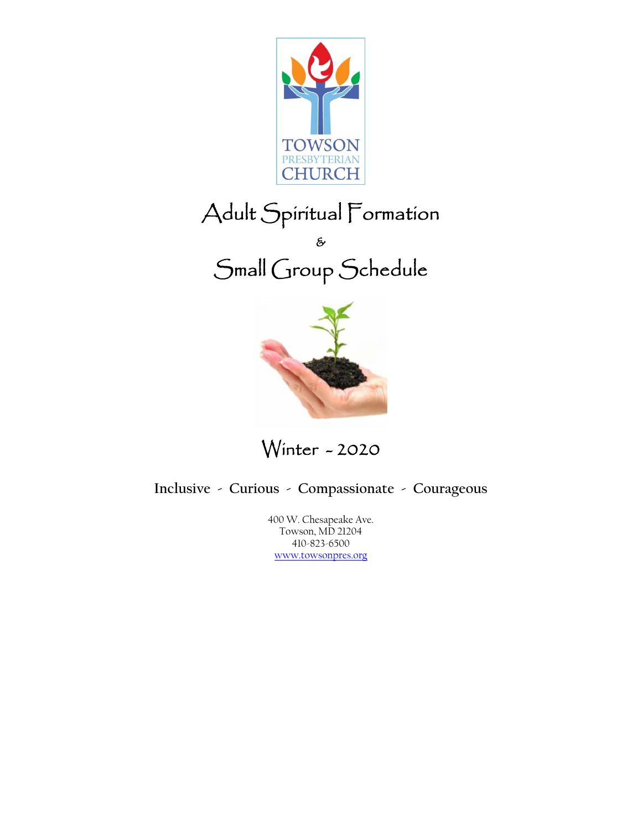

# Adult Spiritual Formation

& Small Group Schedule



Winter - 2020

**Inclusive - Curious - Compassionate - Courageous** 

400 W. Chesapeake Ave. Towson, MD 21204 410-823-6500 www.towsonpres.org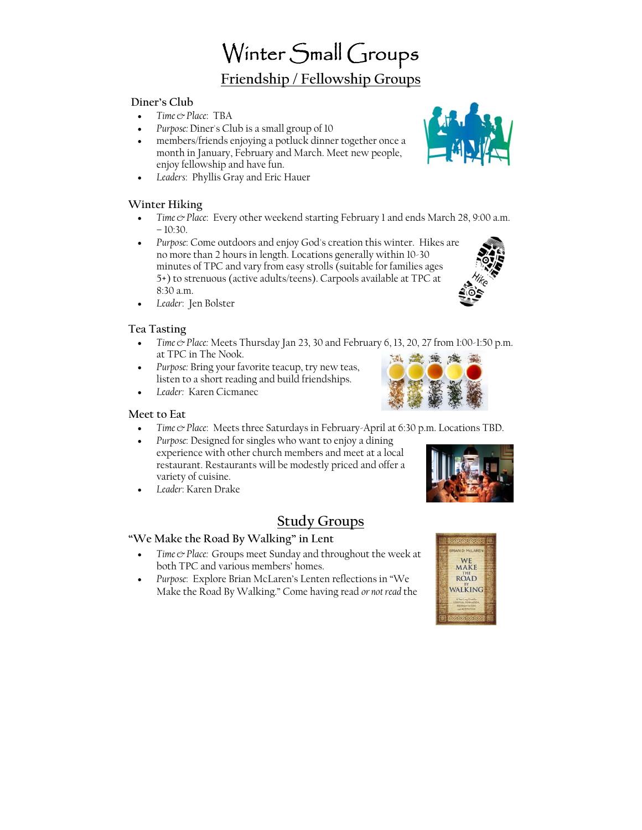# Winter Small Groups **Friendship / Fellowship Groups**

# **Diner's Club**

- *Time & Place*: TBA
- *Purpose:* Diner's Club is a small group of 10
- members/friends enjoying a potluck dinner together once a month in January, February and March. Meet new people, enjoy fellowship and have fun.
- *Leaders*: Phyllis Gray and Eric Hauer

# **Winter Hiking**

- *Time & Place*: Every other weekend starting February 1 and ends March 28, 9:00 a.m.  $-10:30.$
- *Purpose*: Come outdoors and enjoy God's creation this winter. Hikes are no more than 2 hours in length. Locations generally within 10-30 minutes of TPC and vary from easy strolls (suitable for families ages 5+) to strenuous (active adults/teens). Carpools available at TPC at 8:30 a.m.
- *Leader*: Jen Bolster

# **Tea Tasting**

- *Time & Place:* Meets Thursday Jan 23, 30 and February 6, 13, 20, 27 from 1:00-1:50 p.m. at TPC in The Nook. 湖 漢
- *Purpose:* Bring your favorite teacup, try new teas, listen to a short reading and build friendships.
- *Leader:* Karen Cicmanec

# **Meet to Eat**

- *Time & Place*: Meets three Saturdays in February-April at 6:30 p.m. Locations TBD.
- *Purpose*: Designed for singles who want to enjoy a dining experience with other church members and meet at a local restaurant. Restaurants will be modestly priced and offer a variety of cuisine.
- *Leader*: Karen Drake

# **Study Groups**

# **"We Make the Road By Walking" in Lent**

- *Time & Place:* Groups meet Sunday and throughout the week at both TPC and various members' homes.
- *Purpose*: Explore Brian McLaren's Lenten reflections in "We Make the Road By Walking." Come having read *or not read* the







WALKING

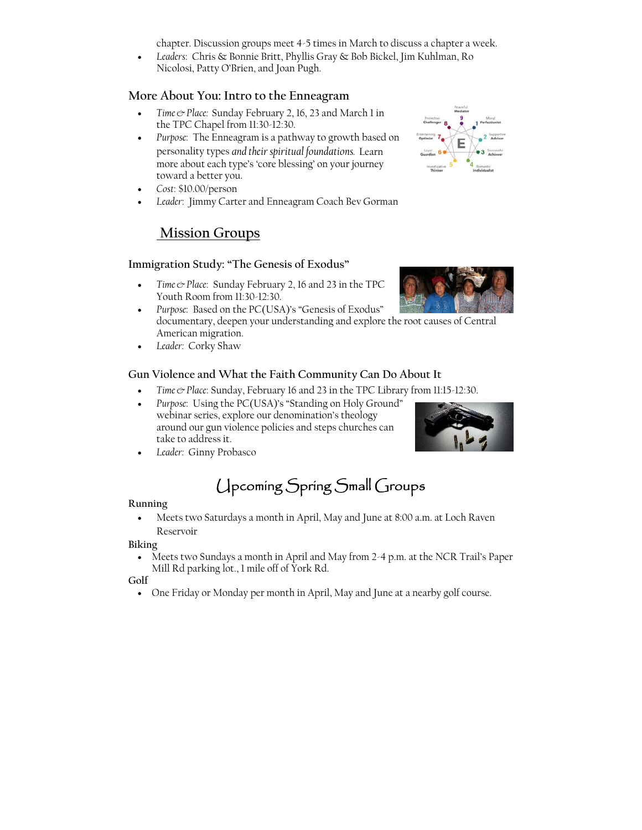chapter. Discussion groups meet 4-5 times in March to discuss a chapter a week.

 *Leaders*: Chris & Bonnie Britt, Phyllis Gray & Bob Bickel, Jim Kuhlman, Ro Nicolosi, Patty O'Brien, and Joan Pugh.

# **More About You: Intro to the Enneagram**

- *Time & Place:* Sunday February 2, 16, 23 and March 1 in the TPC Chapel from 11:30-12:30.
- *Purpose*: The Enneagram is a pathway to growth based on personality types *and their spiritual foundations.* Learn more about each type's 'core blessing' on your journey toward a better you.
- *Cost*: \$10.00/person
- *Leader*: Jimmy Carter and Enneagram Coach Bev Gorman

# **Mission Groups**

# **Immigration Study: "The Genesis of Exodus"**

- *Time & Place*: Sunday February 2, 16 and 23 in the TPC Youth Room from 11:30-12:30.
- *Purpose*: Based on the PC(USA)'s "Genesis of Exodus" documentary, deepen your understanding and explore the root causes of Central American migration.
- *Leader:* Corky Shaw

# **Gun Violence and What the Faith Community Can Do About It**

- *Time & Place*: Sunday, February 16 and 23 in the TPC Library from 11:15-12:30.
- *Purpose*: Using the PC(USA)'s "Standing on Holy Ground" webinar series, explore our denomination's theology around our gun violence policies and steps churches can take to address it.
- *Leader:* Ginny Probasco

# Upcoming Spring Small Groups

# **Running**

 Meets two Saturdays a month in April, May and June at 8:00 a.m. at Loch Raven Reservoir

# **Biking**

 Meets two Sundays a month in April and May from 2-4 p.m. at the NCR Trail's Paper Mill Rd parking lot., 1 mile off of York Rd.

**Golf** 

One Friday or Monday per month in April, May and June at a nearby golf course.